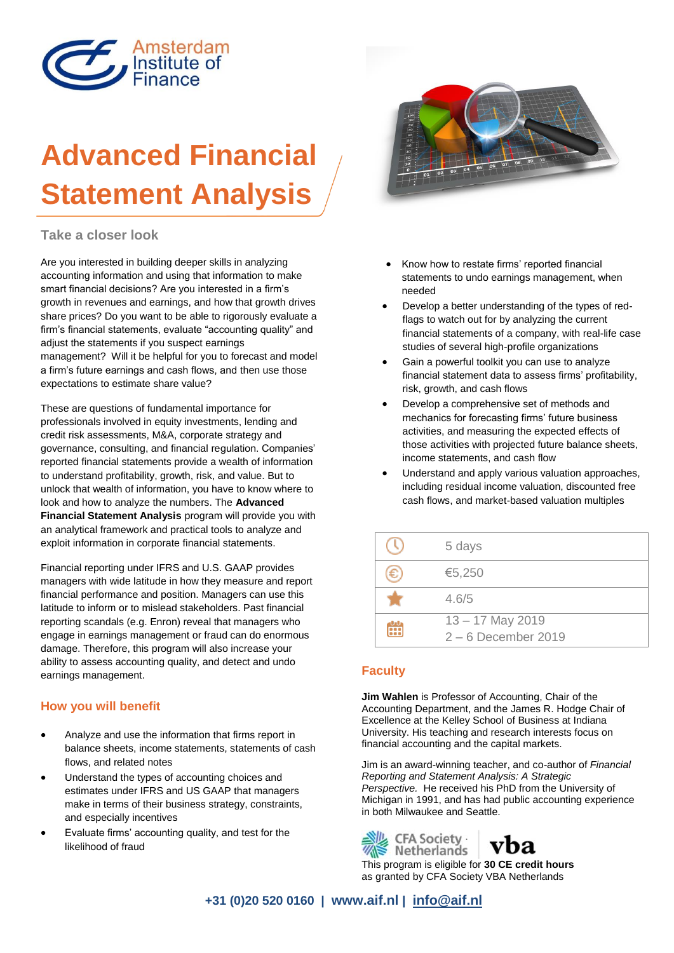

# **Advanced Financial Statement Analysis**

# **Take a closer look**

Are you interested in building deeper skills in analyzing accounting information and using that information to make smart financial decisions? Are you interested in a firm's growth in revenues and earnings, and how that growth drives share prices? Do you want to be able to rigorously evaluate a firm's financial statements, evaluate "accounting quality" and adjust the statements if you suspect earnings management? Will it be helpful for you to forecast and model a firm's future earnings and cash flows, and then use those expectations to estimate share value?

These are questions of fundamental importance for professionals involved in equity investments, lending and credit risk assessments, M&A, corporate strategy and governance, consulting, and financial regulation. Companies' reported financial statements provide a wealth of information to understand profitability, growth, risk, and value. But to unlock that wealth of information, you have to know where to look and how to analyze the numbers. The **Advanced Financial Statement Analysis** program will provide you with an analytical framework and practical tools to analyze and exploit information in corporate financial statements.

Financial reporting under IFRS and U.S. GAAP provides managers with wide latitude in how they measure and report financial performance and position. Managers can use this latitude to inform or to mislead stakeholders. Past financial reporting scandals (e.g. Enron) reveal that managers who engage in earnings management or fraud can do enormous damage. Therefore, this program will also increase your ability to assess accounting quality, and detect and undo earnings management.

# **How you will benefit**

- Analyze and use the information that firms report in balance sheets, income statements, statements of cash flows, and related notes
- Understand the types of accounting choices and estimates under IFRS and US GAAP that managers make in terms of their business strategy, constraints, and especially incentives
- Evaluate firms' accounting quality, and test for the likelihood of fraud



- Know how to restate firms' reported financial statements to undo earnings management, when needed
- Develop a better understanding of the types of redflags to watch out for by analyzing the current financial statements of a company, with real-life case studies of several high-profile organizations
- Gain a powerful toolkit you can use to analyze financial statement data to assess firms' profitability, risk, growth, and cash flows
- Develop a comprehensive set of methods and mechanics for forecasting firms' future business activities, and measuring the expected effects of those activities with projected future balance sheets, income statements, and cash flow
- Understand and apply various valuation approaches, including residual income valuation, discounted free cash flows, and market-based valuation multiples

| 5 days                |
|-----------------------|
| €5,250                |
| 4.6/5                 |
| 13 - 17 May 2019      |
| $2 - 6$ December 2019 |

# **Faculty**

**Jim Wahlen** is Professor of Accounting, Chair of the Accounting Department, and the James R. Hodge Chair of Excellence at the Kelley School of Business at Indiana University. His teaching and research interests focus on financial accounting and the capital markets.

Jim is an award-winning teacher, and co-author of *Financial Reporting and Statement Analysis: A Strategic Perspective.* He received his PhD from the University of Michigan in 1991, and has had public accounting experience in both Milwaukee and Seattle.



This program is eligible for **30 CE credit hours** as granted by CFA Society VBA Netherlands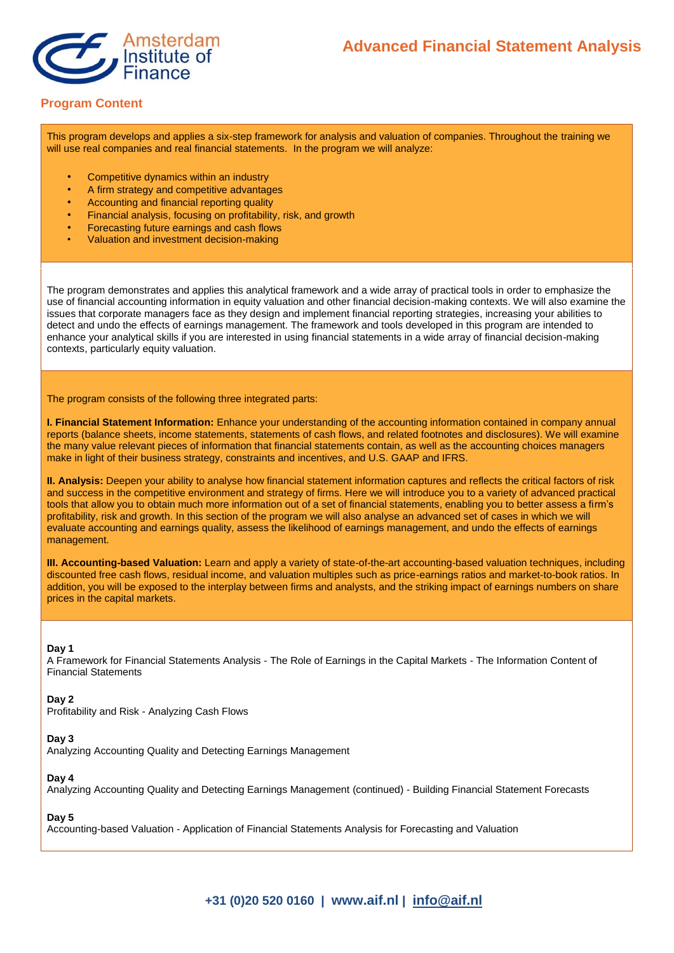

# **Advanced Financial Statement Analysis**

## **Program Content**

This program develops and applies a six-step framework for analysis and valuation of companies. Throughout the training we will use real companies and real financial statements. In the program we will analyze:

- Competitive dynamics within an industry
- A firm strategy and competitive advantages
- Accounting and financial reporting quality
- Financial analysis, focusing on profitability, risk, and growth
- Forecasting future earnings and cash flows
- Valuation and investment decision-making

The program demonstrates and applies this analytical framework and a wide array of practical tools in order to emphasize the use of financial accounting information in equity valuation and other financial decision-making contexts. We will also examine the issues that corporate managers face as they design and implement financial reporting strategies, increasing your abilities to detect and undo the effects of earnings management. The framework and tools developed in this program are intended to enhance your analytical skills if you are interested in using financial statements in a wide array of financial decision-making contexts, particularly equity valuation.

#### The program consists of the following three integrated parts:

**I. Financial Statement Information:** Enhance your understanding of the accounting information contained in company annual reports (balance sheets, income statements, statements of cash flows, and related footnotes and disclosures). We will examine the many value relevant pieces of information that financial statements contain, as well as the accounting choices managers make in light of their business strategy, constraints and incentives, and U.S. GAAP and IFRS.

**II. Analysis:** Deepen your ability to analyse how financial statement information captures and reflects the critical factors of risk and success in the competitive environment and strategy of firms. Here we will introduce you to a variety of advanced practical tools that allow you to obtain much more information out of a set of financial statements, enabling you to better assess a firm's profitability, risk and growth. In this section of the program we will also analyse an advanced set of cases in which we will evaluate accounting and earnings quality, assess the likelihood of earnings management, and undo the effects of earnings management.

**III. Accounting-based Valuation:** Learn and apply a variety of state-of-the-art accounting-based valuation techniques, including discounted free cash flows, residual income, and valuation multiples such as price-earnings ratios and market-to-book ratios. In addition, you will be exposed to the interplay between firms and analysts, and the striking impact of earnings numbers on share prices in the capital markets.

#### **Day 1**

A Framework for Financial Statements Analysis - The Role of Earnings in the Capital Markets - The Information Content of Financial Statements

#### **Day 2**

Profitability and Risk - Analyzing Cash Flows

#### **Day 3**

Analyzing Accounting Quality and Detecting Earnings Management

#### **Day 4**

Analyzing Accounting Quality and Detecting Earnings Management (continued) - Building Financial Statement Forecasts

#### **Day 5**

Accounting-based Valuation - Application of Financial Statements Analysis for Forecasting and Valuation